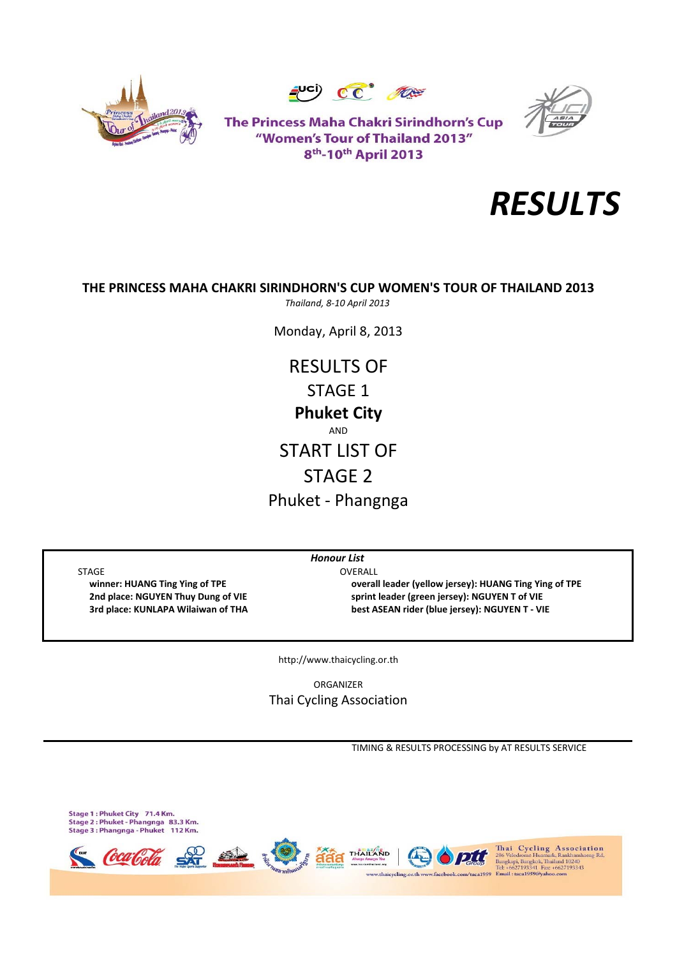





The Princess Maha Chakri Sirindhorn's Cup "Women's Tour of Thailand 2013" 8<sup>th</sup>-10<sup>th</sup> April 2013



# **THE PRINCESS MAHA CHAKRI SIRINDHORN'S CUP WOMEN'S TOUR OF THAILAND 2013**

*Thailand, 8‐10 April 2013*

Monday, April 8, 2013

RESULTS OF STAGE 1 Phuket ‐ Phangnga **Phuket City** AND START LIST OF STAGE 2

STAGE OVERALL

 **winner: HUANG Ting Ying of TPE overall leader (yellow jersey): HUANG Ting Ying of TPE 2nd place: NGUYEN Thuy Dung of VIE sprint leader (green jersey): NGUYEN T of VIE 3rd place: KUNLAPA Wilaiwan of THA best ASEAN rider (blue jersey): NGUYEN T ‐ VIE**

http://www.thaicycling.or.th

*Honour List*

ORGANIZER Thai Cycling Association

TIMING & RESULTS PROCESSING by AT RESULTS SERVICE

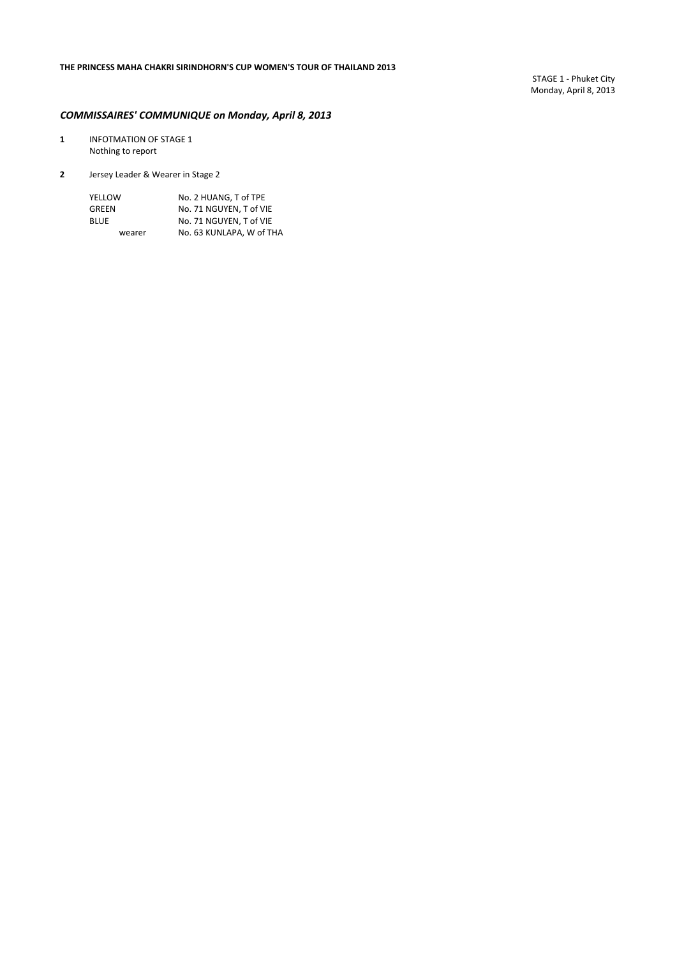### *COMMISSAIRES' COMMUNIQUE on Monday, April 8, 2013*

- **1** INFOTMATION OF STAGE 1 Nothing to report
- **2** Jersey Leader & Wearer in Stage 2

| YELLOW      | No. 2 HUANG. T of TPE    |
|-------------|--------------------------|
| GREEN       | No. 71 NGUYEN. T of VIE  |
| <b>BLUE</b> | No. 71 NGUYEN. T of VIE  |
| wearer      | No. 63 KUNLAPA. W of THA |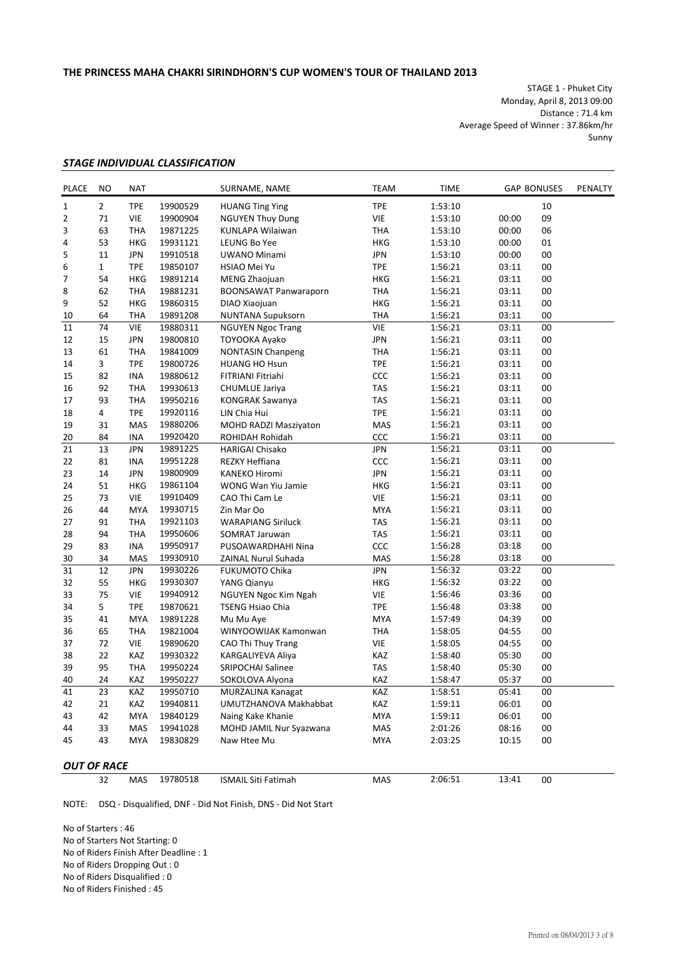STAGE 1 ‐ Phuket City Monday, April 8, 2013 09:00 Distance : 71.4 km Average Speed of Winner : 37.86km/hr Sunny

#### *STAGE INDIVIDUAL CLASSIFICATION*

| <b>PLACE</b>       | NO             | <b>NAT</b> |          | SURNAME, NAME                | <b>TEAM</b> | <b>TIME</b> |       | <b>GAP BONUSES</b> | PENALTY |
|--------------------|----------------|------------|----------|------------------------------|-------------|-------------|-------|--------------------|---------|
| 1                  | $\overline{2}$ | <b>TPE</b> | 19900529 | <b>HUANG Ting Ying</b>       | <b>TPE</b>  | 1:53:10     |       | 10                 |         |
| 2                  | 71             | <b>VIE</b> | 19900904 | <b>NGUYEN Thuy Dung</b>      | VIE         | 1:53:10     | 00:00 | 09                 |         |
| 3                  | 63             | <b>THA</b> | 19871225 | KUNLAPA Wilaiwan             | <b>THA</b>  | 1:53:10     | 00:00 | 06                 |         |
| 4                  | 53             | <b>HKG</b> | 19931121 | LEUNG Bo Yee                 | <b>HKG</b>  | 1:53:10     | 00:00 | 01                 |         |
| 5                  | 11             | <b>JPN</b> | 19910518 | UWANO Minami                 | <b>JPN</b>  | 1:53:10     | 00:00 | 00                 |         |
| 6                  | $\mathbf{1}$   | <b>TPE</b> | 19850107 | HSIAO Mei Yu                 | <b>TPE</b>  | 1:56:21     | 03:11 | 00                 |         |
| 7                  | 54             | <b>HKG</b> | 19891214 | MENG Zhaojuan                | <b>HKG</b>  | 1:56:21     | 03:11 | 00                 |         |
| 8                  | 62             | <b>THA</b> | 19881231 | <b>BOONSAWAT Panwaraporn</b> | <b>THA</b>  | 1:56:21     | 03:11 | 00                 |         |
| 9                  | 52             | <b>HKG</b> | 19860315 | DIAO Xiaojuan                | <b>HKG</b>  | 1:56:21     | 03:11 | 00                 |         |
| 10                 | 64             | <b>THA</b> | 19891208 | <b>NUNTANA Supuksorn</b>     | <b>THA</b>  | 1:56:21     | 03:11 | 00                 |         |
| 11                 | 74             | <b>VIE</b> | 19880311 | <b>NGUYEN Ngoc Trang</b>     | VIE         | 1:56:21     | 03:11 | 00                 |         |
| 12                 | 15             | <b>JPN</b> | 19800810 | TOYOOKA Ayako                | <b>JPN</b>  | 1:56:21     | 03:11 | 00                 |         |
| 13                 | 61             | <b>THA</b> | 19841009 | <b>NONTASIN Chanpeng</b>     | <b>THA</b>  | 1:56:21     | 03:11 | 00                 |         |
| 14                 | 3              | <b>TPE</b> | 19800726 | <b>HUANG HO Hsun</b>         | <b>TPE</b>  | 1:56:21     | 03:11 | 00                 |         |
| 15                 | 82             | <b>INA</b> | 19880612 | FITRIANI Fitriahi            | CCC         | 1:56:21     | 03:11 | 00                 |         |
| 16                 | 92             | <b>THA</b> | 19930613 | CHUMLUE Jariya               | <b>TAS</b>  | 1:56:21     | 03:11 | 00                 |         |
| 17                 | 93             | <b>THA</b> | 19950216 | <b>KONGRAK Sawanya</b>       | <b>TAS</b>  | 1:56:21     | 03:11 | 00                 |         |
| 18                 | 4              | <b>TPE</b> | 19920116 | LIN Chia Hui                 | <b>TPE</b>  | 1:56:21     | 03:11 | 00                 |         |
| 19                 | 31             | <b>MAS</b> | 19880206 | <b>MOHD RADZI Masziyaton</b> | MAS         | 1:56:21     | 03:11 | 00                 |         |
| 20                 | 84             | INA        | 19920420 | ROHIDAH Rohidah              | CCC         | 1:56:21     | 03:11 | 00                 |         |
| 21                 | 13             | <b>JPN</b> | 19891225 | <b>HARIGAI Chisako</b>       | <b>JPN</b>  | 1:56:21     | 03:11 | 00                 |         |
| 22                 | 81             | <b>INA</b> | 19951228 | REZKY Heffiana               | CCC         | 1:56:21     | 03:11 | 00                 |         |
| 23                 | 14             | <b>JPN</b> | 19800909 | <b>KANEKO Hiromi</b>         | <b>JPN</b>  | 1:56:21     | 03:11 | 00                 |         |
| 24                 | 51             | HKG        | 19861104 | WONG Wan Yiu Jamie           | <b>HKG</b>  | 1:56:21     | 03:11 | 00                 |         |
| 25                 | 73             | <b>VIE</b> | 19910409 | CAO Thi Cam Le               | <b>VIE</b>  | 1:56:21     | 03:11 | 00                 |         |
| 26                 | 44             | <b>MYA</b> | 19930715 | Zin Mar Oo                   | <b>MYA</b>  | 1:56:21     | 03:11 | 00                 |         |
| 27                 | 91             | <b>THA</b> | 19921103 | <b>WARAPIANG Siriluck</b>    | <b>TAS</b>  | 1:56:21     | 03:11 | 00                 |         |
| 28                 | 94             | <b>THA</b> | 19950606 | SOMRAT Jaruwan               | TAS         | 1:56:21     | 03:11 | 00                 |         |
| 29                 | 83             | <b>INA</b> | 19950917 | PUSOAWARDHAHI Nina           | CCC         | 1:56:28     | 03:18 | 00                 |         |
| 30                 | 34             | MAS        | 19930910 | ZAINAL Nurul Suhada          | MAS         | 1:56:28     | 03:18 | 00                 |         |
| 31                 | 12             | <b>JPN</b> | 19930226 | <b>FUKUMOTO Chika</b>        | <b>JPN</b>  | 1:56:32     | 03:22 | 00                 |         |
| 32                 | 55             | <b>HKG</b> | 19930307 | YANG Qianyu                  | <b>HKG</b>  | 1:56:32     | 03:22 | 00                 |         |
| 33                 | 75             | <b>VIE</b> | 19940912 | NGUYEN Ngoc Kim Ngah         | VIE         | 1:56:46     | 03:36 | 00                 |         |
| 34                 | 5              | <b>TPE</b> | 19870621 | <b>TSENG Hsiao Chia</b>      | <b>TPE</b>  | 1:56:48     | 03:38 | 00                 |         |
| 35                 | 41             | <b>MYA</b> | 19891228 | Mu Mu Aye                    | <b>MYA</b>  | 1:57:49     | 04:39 | 00                 |         |
| 36                 | 65             | <b>THA</b> | 19821004 | WINYOOWIJAK Kamonwan         | <b>THA</b>  | 1:58:05     | 04:55 | 00                 |         |
| 37                 | 72             | VIE        | 19890620 | CAO Thi Thuy Trang           | VIE         | 1:58:05     | 04:55 | 00                 |         |
| 38                 | 22             | KAZ        | 19930322 | KARGALIYEVA Aliya            | KAZ         | 1:58:40     | 05:30 | 00                 |         |
| 39                 | 95             | <b>THA</b> | 19950224 | <b>SRIPOCHAI Salinee</b>     | <b>TAS</b>  | 1:58:40     | 05:30 | 00                 |         |
| 40                 | 24             | KAZ        | 19950227 | SOKOLOVA Alyona              | KAZ         | 1:58:47     | 05:37 | 00                 |         |
| 41                 | 23             | KAZ        | 19950710 | MURZALINA Kanagat            | KAZ         | 1:58:51     | 05:41 | $00\,$             |         |
| 42                 | 21             | KAZ        | 19940811 | UMUTZHANOVA Makhabbat        | KAZ         | 1:59:11     | 06:01 | 00                 |         |
| 43                 | 42             | <b>MYA</b> | 19840129 | Naing Kake Khanie            | MYA         | 1:59:11     | 06:01 | 00                 |         |
| 44                 | 33             | MAS        | 19941028 | MOHD JAMIL Nur Syazwana      | MAS         | 2:01:26     | 08:16 | 00                 |         |
| 45                 | 43             | <b>MYA</b> | 19830829 | Naw Htee Mu                  | MYA         | 2:03:25     | 10:15 | 00                 |         |
|                    |                |            |          |                              |             |             |       |                    |         |
| <b>OUT OF RACE</b> |                |            |          |                              |             |             |       |                    |         |
|                    | 32             | MAS        | 19780518 | <b>ISMAIL Siti Fatimah</b>   | MAS         | 2:06:51     | 13:41 | 00                 |         |

NOTE: DSQ ‐ Disqualified, DNF ‐ Did Not Finish, DNS ‐ Did Not Start

No of Starters : 46 No of Starters Not Starting: 0 No of Riders Finish After Deadline : 1 No of Riders Dropping Out : 0 No of Riders Disqualified : 0

No of Riders Finished : 45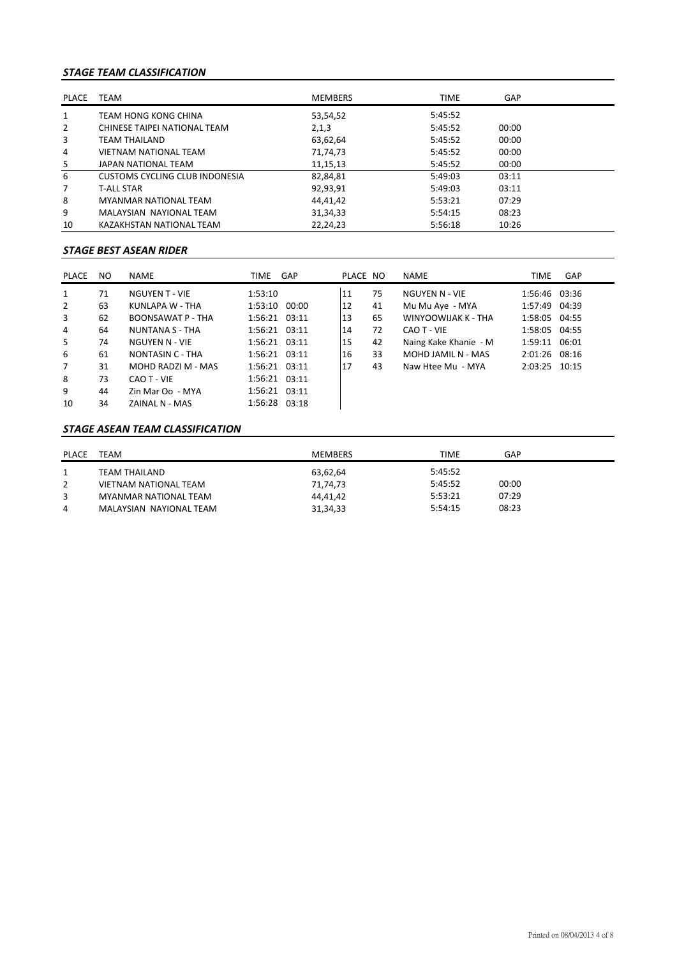### *STAGE TEAM CLASSIFICATION*

| <b>PLACE</b> | <b>TEAM</b>                    | <b>MEMBERS</b> | <b>TIME</b> | <b>GAP</b> |  |
|--------------|--------------------------------|----------------|-------------|------------|--|
| 1            | TEAM HONG KONG CHINA           | 53,54,52       | 5:45:52     |            |  |
| 2            | CHINESE TAIPEI NATIONAL TEAM   | 2,1,3          | 5:45:52     | 00:00      |  |
| 3            | TEAM THAILAND                  | 63,62,64       | 5:45:52     | 00:00      |  |
| 4            | <b>VIETNAM NATIONAL TEAM</b>   | 71,74,73       | 5:45:52     | 00:00      |  |
| 5            | JAPAN NATIONAL TEAM            | 11,15,13       | 5:45:52     | 00:00      |  |
| 6            | CUSTOMS CYCLING CLUB INDONESIA | 82,84,81       | 5:49:03     | 03:11      |  |
| 7            | <b>T-ALL STAR</b>              | 92,93,91       | 5:49:03     | 03:11      |  |
| 8            | <b>MYANMAR NATIONAL TEAM</b>   | 44.41.42       | 5:53:21     | 07:29      |  |
| 9            | MALAYSIAN NAYIONAL TEAM        | 31,34,33       | 5:54:15     | 08:23      |  |
| 10           | KAZAKHSTAN NATIONAL TEAM       | 22,24,23       | 5:56:18     | 10:26      |  |

# *STAGE BEST ASEAN RIDER*

| PLACE          | NO. | NAME                     | TIME GAP          | PLACE NO |    | NAME                  | <b>TIME</b>   | GAP |
|----------------|-----|--------------------------|-------------------|----------|----|-----------------------|---------------|-----|
| $\mathbf{1}$   | 71  | <b>NGUYEN T - VIE</b>    | 1:53:10           | 11       | 75 | NGUYEN N - VIE        | 1:56:46 03:36 |     |
| 2              | 63  | KUNLAPA W - THA          | 1:53:10 00:00     | 12       | 41 | Mu Mu Aye - MYA       | 1:57:49 04:39 |     |
| 3              | 62  | <b>BOONSAWAT P - THA</b> | 1:56:21 03:11     | 13       | 65 | WINYOOWIJAK K - THA   | 1:58:05 04:55 |     |
| 4              | 64  | <b>NUNTANA S - THA</b>   | $1:56:21$ $03:11$ | 14       | 72 | CAO T - VIE           | 1:58:05 04:55 |     |
| 5              | 74  | NGUYEN N - VIE           | $1:56:21$ $03:11$ | 15       | 42 | Naing Kake Khanie - M | 1:59:11 06:01 |     |
| 6              | 61  | NONTASIN C - THA         | $1:56:21$ $03:11$ | 16       | 33 | MOHD JAMIL N - MAS    | 2:01:26 08:16 |     |
| $\overline{7}$ | 31  | MOHD RADZI M - MAS       | 1:56:21 03:11     | 17       | 43 | Naw Htee Mu - MYA     | 2:03:25 10:15 |     |
| 8              | 73  | CAO T - VIE              | $1:56:21$ $03:11$ |          |    |                       |               |     |
| 9              | 44  | Zin Mar Oo - MYA         | 1:56:21 03:11     |          |    |                       |               |     |
| 10             | 34  | ZAINAL N - MAS           | 1:56:28 03:18     |          |    |                       |               |     |

#### *STAGE ASEAN TEAM CLASSIFICATION*

| <b>PLACE</b> | TEAM                    | <b>MEMBERS</b> | <b>TIME</b> | GAP   |
|--------------|-------------------------|----------------|-------------|-------|
|              | TEAM THAILAND           | 63,62,64       | 5:45:52     |       |
|              | VIETNAM NATIONAL TEAM   | 71,74,73       | 5:45:52     | 00:00 |
| 3            | MYANMAR NATIONAL TEAM   | 44,41,42       | 5:53:21     | 07:29 |
| 4            | MALAYSIAN NAYIONAL TEAM | 31, 34, 33     | 5:54:15     | 08:23 |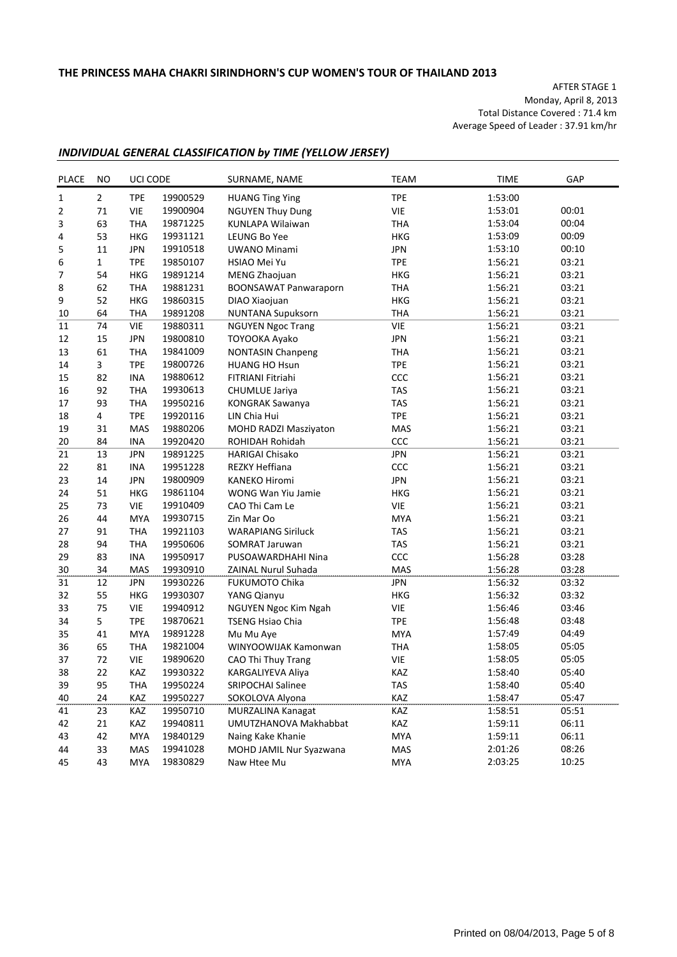AFTER STAGE 1 Monday, April 8, 2013 Total Distance Covered : 71.4 km Average Speed of Leader : 37.91 km/hr

### *INDIVIDUAL GENERAL CLASSIFICATION by TIME (YELLOW JERSEY)*

| <b>PLACE</b> | <b>NO</b>      | UCI CODE   |          | SURNAME, NAME                | <b>TEAM</b> | <b>TIME</b> | GAP   |
|--------------|----------------|------------|----------|------------------------------|-------------|-------------|-------|
| $\mathbf 1$  | $\overline{2}$ | <b>TPE</b> | 19900529 | <b>HUANG Ting Ying</b>       | <b>TPE</b>  | 1:53:00     |       |
| 2            | 71             | <b>VIE</b> | 19900904 | <b>NGUYEN Thuy Dung</b>      | <b>VIE</b>  | 1:53:01     | 00:01 |
| 3            | 63             | THA        | 19871225 | KUNLAPA Wilaiwan             | <b>THA</b>  | 1:53:04     | 00:04 |
| 4            | 53             | <b>HKG</b> | 19931121 | LEUNG Bo Yee                 | <b>HKG</b>  | 1:53:09     | 00:09 |
| 5            | 11             | <b>JPN</b> | 19910518 | <b>UWANO Minami</b>          | <b>JPN</b>  | 1:53:10     | 00:10 |
| 6            | $\mathbf{1}$   | <b>TPE</b> | 19850107 | HSIAO Mei Yu                 | <b>TPE</b>  | 1:56:21     | 03:21 |
| 7            | 54             | HKG        | 19891214 | MENG Zhaojuan                | <b>HKG</b>  | 1:56:21     | 03:21 |
| 8            | 62             | <b>THA</b> | 19881231 | <b>BOONSAWAT Panwaraporn</b> | <b>THA</b>  | 1:56:21     | 03:21 |
| 9            | 52             | <b>HKG</b> | 19860315 | DIAO Xiaojuan                | <b>HKG</b>  | 1:56:21     | 03:21 |
| 10           | 64             | <b>THA</b> | 19891208 | <b>NUNTANA Supuksorn</b>     | <b>THA</b>  | 1:56:21     | 03:21 |
| 11           | 74             | <b>VIE</b> | 19880311 | <b>NGUYEN Ngoc Trang</b>     | <b>VIE</b>  | 1:56:21     | 03:21 |
| 12           | 15             | <b>JPN</b> | 19800810 | TOYOOKA Ayako                | <b>JPN</b>  | 1:56:21     | 03:21 |
| 13           | 61             | <b>THA</b> | 19841009 | <b>NONTASIN Chanpeng</b>     | <b>THA</b>  | 1:56:21     | 03:21 |
| 14           | 3              | <b>TPE</b> | 19800726 | <b>HUANG HO Hsun</b>         | <b>TPE</b>  | 1:56:21     | 03:21 |
| 15           | 82             | <b>INA</b> | 19880612 | FITRIANI Fitriahi            | ccc         | 1:56:21     | 03:21 |
| 16           | 92             | THA        | 19930613 | CHUMLUE Jariya               | <b>TAS</b>  | 1:56:21     | 03:21 |
| 17           | 93             | <b>THA</b> | 19950216 | <b>KONGRAK Sawanya</b>       | <b>TAS</b>  | 1:56:21     | 03:21 |
| 18           | 4              | <b>TPE</b> | 19920116 | LIN Chia Hui                 | <b>TPE</b>  | 1:56:21     | 03:21 |
| 19           | 31             | <b>MAS</b> | 19880206 | MOHD RADZI Masziyaton        | MAS         | 1:56:21     | 03:21 |
| 20           | 84             | <b>INA</b> | 19920420 | ROHIDAH Rohidah              | CCC         | 1:56:21     | 03:21 |
| 21           | 13             | <b>JPN</b> | 19891225 | <b>HARIGAI Chisako</b>       | <b>JPN</b>  | 1:56:21     | 03:21 |
| 22           | 81             | <b>INA</b> | 19951228 | REZKY Heffiana               | CCC         | 1:56:21     | 03:21 |
| 23           | 14             | <b>JPN</b> | 19800909 | <b>KANEKO Hiromi</b>         | <b>JPN</b>  | 1:56:21     | 03:21 |
| 24           | 51             | HKG        | 19861104 | <b>WONG Wan Yiu Jamie</b>    | <b>HKG</b>  | 1:56:21     | 03:21 |
| 25           | 73             | VIE        | 19910409 | CAO Thi Cam Le               | <b>VIE</b>  | 1:56:21     | 03:21 |
| 26           | 44             | <b>MYA</b> | 19930715 | Zin Mar Oo                   | <b>MYA</b>  | 1:56:21     | 03:21 |
| 27           | 91             | <b>THA</b> | 19921103 | <b>WARAPIANG Siriluck</b>    | <b>TAS</b>  | 1:56:21     | 03:21 |
| 28           | 94             | <b>THA</b> | 19950606 | <b>SOMRAT Jaruwan</b>        | TAS         | 1:56:21     | 03:21 |
| 29           | 83             | <b>INA</b> | 19950917 | PUSOAWARDHAHI Nina           | CCC         | 1:56:28     | 03:28 |
| 30           | 34             | <b>MAS</b> | 19930910 | ZAINAL Nurul Suhada          | MAS         | 1:56:28     | 03:28 |
| 31           | 12             | <b>JPN</b> | 19930226 | <b>FUKUMOTO Chika</b>        | <b>JPN</b>  | 1:56:32     | 03:32 |
| 32           | 55             | HKG        | 19930307 | YANG Qianyu                  | <b>HKG</b>  | 1:56:32     | 03:32 |
| 33           | 75             | <b>VIE</b> | 19940912 | NGUYEN Ngoc Kim Ngah         | VIE         | 1:56:46     | 03:46 |
| 34           | 5              | <b>TPE</b> | 19870621 | <b>TSENG Hsiao Chia</b>      | <b>TPE</b>  | 1:56:48     | 03:48 |
| 35           | 41             | <b>MYA</b> | 19891228 | Mu Mu Aye                    | <b>MYA</b>  | 1:57:49     | 04:49 |
| 36           | 65             | <b>THA</b> | 19821004 | WINYOOWIJAK Kamonwan         | <b>THA</b>  | 1:58:05     | 05:05 |
| 37           | 72             | <b>VIE</b> | 19890620 | CAO Thi Thuy Trang           | <b>VIE</b>  | 1:58:05     | 05:05 |
| 38           | 22             | KAZ        | 19930322 | KARGALIYEVA Aliya            | KAZ         | 1:58:40     | 05:40 |
| 39           | 95             | THA        | 19950224 | SRIPOCHAI Salinee            | <b>TAS</b>  | 1:58:40     | 05:40 |
| 40           | 24             | KAZ        | 19950227 | SOKOLOVA Alyona              | KAZ         | 1:58:47     | 05:47 |
| 41           | 23             | KAZ        | 19950710 | MURZALINA Kanagat            | KAZ         | 1:58:51     | 05:51 |
| 42           | 21             | KAZ        | 19940811 | UMUTZHANOVA Makhabbat        | KAZ         | 1:59:11     | 06:11 |
| 43           | 42             | MYA        | 19840129 | Naing Kake Khanie            | MYA         | 1:59:11     | 06:11 |
| 44           | 33             | MAS        | 19941028 | MOHD JAMIL Nur Syazwana      | MAS         | 2:01:26     | 08:26 |
| 45           | 43             | MYA        | 19830829 | Naw Htee Mu                  | <b>MYA</b>  | 2:03:25     | 10:25 |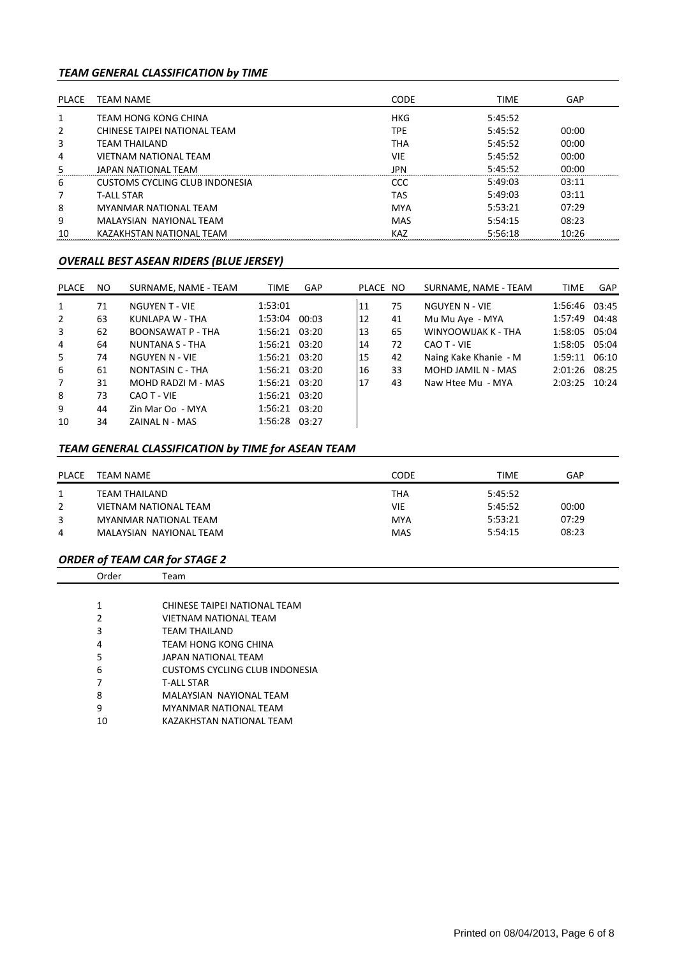### *TEAM GENERAL CLASSIFICATION by TIME*

| PLACE         | TEAM NAME                      | <b>CODE</b> | <b>TIME</b> | GAP   |
|---------------|--------------------------------|-------------|-------------|-------|
|               | TEAM HONG KONG CHINA           | <b>HKG</b>  | 5:45:52     |       |
| $\mathcal{L}$ | CHINESE TAIPEI NATIONAL TEAM   | <b>TPE</b>  | 5:45:52     | 00:00 |
| 3             | TFAM THAILAND                  | <b>THA</b>  | 5:45:52     | 00:00 |
| 4             | VIETNAM NATIONAL TEAM          | <b>VIE</b>  | 5:45:52     | 00:00 |
| 5             | JAPAN NATIONAL TEAM            | <b>IPN</b>  | 5:45:52     | 00:00 |
| 6             | CUSTOMS CYCLING CLUB INDONESIA | CCC         | 5:49:03     | 03:11 |
|               | T-ALL STAR                     | TAS         | 5:49:03     | 03:11 |
| 8             | MYANMAR NATIONAL TFAM          | <b>MYA</b>  | 5:53:21     | 07:29 |
| 9             | MALAYSIAN NAYIONAL TEAM        | MAS         | 5:54:15     | 08:23 |
| 10            | KAZAKHSTAN NATIONAL TEAM       | <b>KAZ</b>  | 5:56:18     | 10:26 |

#### *OVERALL BEST ASEAN RIDERS (BLUE JERSEY)*

| PLACE          | NO. | SURNAME, NAME - TEAM     | <b>TIME</b>   | <b>GAP</b> | PLACE NO |    | SURNAME, NAME - TEAM  | <b>TIME</b>   | <b>GAP</b> |
|----------------|-----|--------------------------|---------------|------------|----------|----|-----------------------|---------------|------------|
| 1              | 71  | <b>NGUYEN T - VIE</b>    | 1:53:01       |            | 11       | 75 | NGUYEN N - VIE        | 1:56:46 03:45 |            |
| 2              | 63  | KUNLAPA W - THA          | 1:53:04       | 00:03      | 12       | 41 | Mu Mu Aye - MYA       | 1:57:49 04:48 |            |
| 3              | 62  | <b>BOONSAWAT P - THA</b> | 1:56:21 03:20 |            | 13       | 65 | WINYOOWIJAK K - THA   | 1:58:05 05:04 |            |
| 4              | 64  | NUNTANA S - THA          | 1:56:21 03:20 |            | 14       | 72 | CAO T - VIE           | 1:58:05 05:04 |            |
| 5              | 74  | NGUYEN N - VIE           | 1:56:21 03:20 |            | 15       | 42 | Naing Kake Khanie - M | 1:59:11       | 06:10      |
| 6              | 61  | NONTASIN C - THA         | 1:56:21 03:20 |            | 16       | 33 | MOHD JAMIL N - MAS    | 2:01:26 08:25 |            |
| $\overline{7}$ | 31  | MOHD RADZI M - MAS       | 1:56:21 03:20 |            | 17       | 43 | Naw Htee Mu - MYA     | 2:03:25       | 10:24      |
| 8              | 73  | CAO T - VIE              | 1:56:21 03:20 |            |          |    |                       |               |            |
| 9              | 44  | Zin Mar Oo - MYA         | 1:56:21 03:20 |            |          |    |                       |               |            |
| 10             | 34  | ZAINAL N - MAS           | 1:56:28 03:27 |            |          |    |                       |               |            |

# *TEAM GENERAL CLASSIFICATION by TIME for ASEAN TEAM*

| PLACE | TEAM NAME               | CODE       | <b>TIME</b> | GAP   |
|-------|-------------------------|------------|-------------|-------|
|       | TEAM THAILAND           | <b>THA</b> | 5:45:52     |       |
| 2     | VIETNAM NATIONAL TEAM   | VIE        | 5:45:52     | 00:00 |
| 3     | MYANMAR NATIONAL TEAM   | <b>MYA</b> | 5:53:21     | 07:29 |
| 4     | MALAYSIAN NAYIONAL TEAM | <b>MAS</b> | 5:54:15     | 08:23 |

### *ORDER of TEAM CAR for STAGE 2*

| Order        | Team                           |  |
|--------------|--------------------------------|--|
|              |                                |  |
| $\mathbf{1}$ | CHINESE TAIPEI NATIONAL TEAM   |  |
| 2            | <b>VIETNAM NATIONAL TEAM</b>   |  |
| 3            | <b>TEAM THAILAND</b>           |  |
| 4            | TEAM HONG KONG CHINA           |  |
| 5            | JAPAN NATIONAL TEAM            |  |
| 6            | CUSTOMS CYCLING CLUB INDONESIA |  |
| 7            | <b>T-ALL STAR</b>              |  |
| 8            | MALAYSIAN NAYIONAL TEAM        |  |
| 9            | <b>MYANMAR NATIONAL TEAM</b>   |  |
| 10           | KAZAKHSTAN NATIONAL TEAM       |  |
|              |                                |  |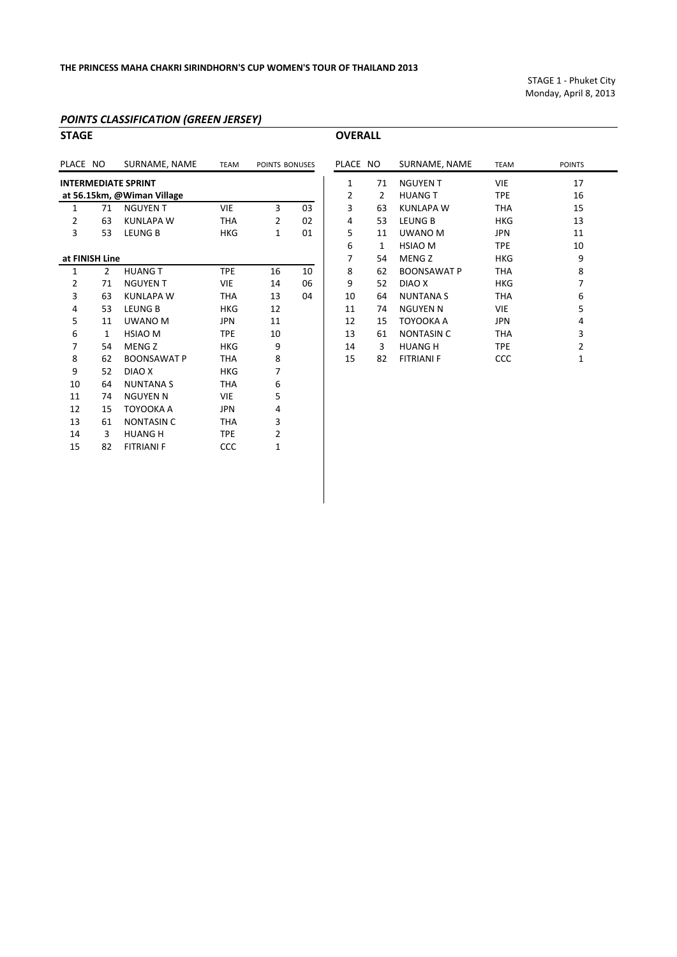STAGE 1 ‐ Phuket City Monday, April 8, 2013

#### *POINTS CLASSIFICATION (GREEN JERSEY)*

| <b>STAGE</b>               |                |                            |             |                |    | <b>OVERALL</b> |                |                    |             |                         |
|----------------------------|----------------|----------------------------|-------------|----------------|----|----------------|----------------|--------------------|-------------|-------------------------|
| PLACE NO                   |                | SURNAME, NAME              | <b>TEAM</b> | POINTS BONUSES |    | PLACE NO       |                | SURNAME, NAME      | <b>TEAM</b> | POINTS                  |
| <b>INTERMEDIATE SPRINT</b> |                |                            |             |                |    | $\mathbf{1}$   | 71             | <b>NGUYEN T</b>    | <b>VIE</b>  | 17                      |
|                            |                | at 56.15km, @Wiman Village |             |                |    | 2              | $\overline{2}$ | <b>HUANG T</b>     | <b>TPE</b>  | 16                      |
| 1                          | 71             | <b>NGUYEN T</b>            | <b>VIE</b>  | 3              | 03 | 3              | 63             | <b>KUNLAPA W</b>   | <b>THA</b>  | 15                      |
| 2                          | 63             | <b>KUNLAPA W</b>           | <b>THA</b>  | 2              | 02 | 4              | 53             | <b>LEUNG B</b>     | <b>HKG</b>  | 13                      |
| 3                          | 53             | <b>LEUNG B</b>             | <b>HKG</b>  | 1              | 01 | 5              | 11             | UWANO M            | <b>JPN</b>  | 11                      |
|                            |                |                            |             |                |    | 6              | 1              | <b>HSIAO M</b>     | <b>TPE</b>  | 10                      |
|                            | at FINISH Line |                            |             |                |    | 7              | 54             | <b>MENG Z</b>      | <b>HKG</b>  | 9                       |
| 1                          | $\overline{2}$ | <b>HUANG T</b>             | <b>TPE</b>  | 16             | 10 | 8              | 62             | <b>BOONSAWAT P</b> | <b>THA</b>  | 8                       |
| $\overline{2}$             | 71             | <b>NGUYEN T</b>            | <b>VIE</b>  | 14             | 06 | 9              | 52             | DIAO X             | <b>HKG</b>  | 7                       |
| 3                          | 63             | <b>KUNLAPA W</b>           | <b>THA</b>  | 13             | 04 | 10             | 64             | <b>NUNTANA S</b>   | <b>THA</b>  | 6                       |
| 4                          | 53             | <b>LEUNG B</b>             | <b>HKG</b>  | 12             |    | 11             | 74             | <b>NGUYEN N</b>    | <b>VIE</b>  | 5                       |
| 5                          | 11             | <b>UWANO M</b>             | <b>JPN</b>  | 11             |    | 12             | 15             | TOYOOKA A          | <b>JPN</b>  | 4                       |
| 6                          | 1              | <b>HSIAO M</b>             | <b>TPE</b>  | 10             |    | 13             | 61             | <b>NONTASIN C</b>  | <b>THA</b>  | 3                       |
| 7                          | 54             | <b>MENG Z</b>              | <b>HKG</b>  | 9              |    | 14             | 3              | <b>HUANG H</b>     | <b>TPE</b>  | $\overline{\mathbf{c}}$ |
| 8                          | 62             | <b>BOONSAWAT P</b>         | <b>THA</b>  | 8              |    | 15             | 82             | <b>FITRIANI F</b>  | <b>CCC</b>  | $\mathbf{1}$            |
| 9                          | 52             | DIAO X                     | <b>HKG</b>  | 7              |    |                |                |                    |             |                         |
| 10                         | 64             | <b>NUNTANA S</b>           | <b>THA</b>  | 6              |    |                |                |                    |             |                         |
| 11                         | 74             | <b>NGUYEN N</b>            | <b>VIE</b>  | 5              |    |                |                |                    |             |                         |
| 12                         | 15             | TOYOOKA A                  | <b>JPN</b>  | 4              |    |                |                |                    |             |                         |
| 13                         | 61             | <b>NONTASIN C</b>          | <b>THA</b>  | 3              |    |                |                |                    |             |                         |
| 14                         | 3              | <b>HUANG H</b>             | <b>TPE</b>  | 2              |    |                |                |                    |             |                         |
| 15                         | 82             | <b>FITRIANI F</b>          | CCC         | 1              |    |                |                |                    |             |                         |
|                            |                |                            |             |                |    |                |                |                    |             |                         |

| LACE NO      |    | SURNAME, NAME      | <b>TEAM</b> | <b>POINTS</b>  |
|--------------|----|--------------------|-------------|----------------|
| $\mathbf{1}$ | 71 | <b>NGUYENT</b>     | <b>VIE</b>  | 17             |
| 2            | 2  | <b>HUANG T</b>     | <b>TPE</b>  | 16             |
| 3            | 63 | KUNLAPA W          | THA         | 15             |
| 4            | 53 | <b>LEUNG B</b>     | <b>HKG</b>  | 13             |
| 5            | 11 | UWANO M            | <b>JPN</b>  | 11             |
| 6            | 1  | <b>HSIAO M</b>     | <b>TPE</b>  | 10             |
| 7            | 54 | MENG <sub>Z</sub>  | <b>HKG</b>  | 9              |
| 8            | 62 | <b>BOONSAWAT P</b> | THA         | 8              |
| 9            | 52 | DIAO X             | HKG         | 7              |
| 10           | 64 | <b>NUNTANA S</b>   | THA         | 6              |
| 11           | 74 | <b>NGUYEN N</b>    | VIE         | 5              |
| 12           | 15 | TOYOOKA A          | <b>JPN</b>  | 4              |
| 13           | 61 | <b>NONTASIN C</b>  | THA         | 3              |
| 14           | 3  | <b>HUANG H</b>     | <b>TPE</b>  | 2              |
| 15           | 82 | <b>FITRIANI F</b>  | CCC         | $\overline{1}$ |